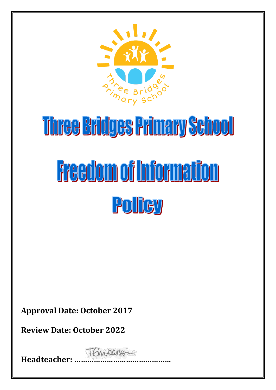

# Three Bridges Primary School **Freedom of Information** POITCY

**Approval Date: October 2017**

**Review Date: October 2022**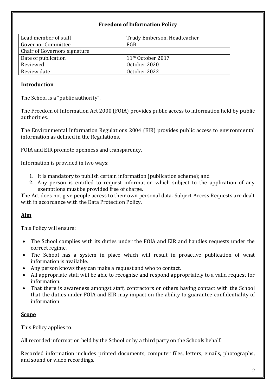# **Freedom of Information Policy**

| Lead member of staff                | Trudy Emberson, Headteacher   |
|-------------------------------------|-------------------------------|
| <b>Governor Committee</b>           | FGB                           |
| <b>Chair of Governors signature</b> |                               |
| Date of publication                 | 11 <sup>th</sup> October 2017 |
| Reviewed                            | October 2020                  |
| Review date                         | October 2022                  |

## **Introduction**

The School is a "public authority".

The Freedom of Information Act 2000 (FOIA) provides public access to information held by public authorities.

The Environmental Information Regulations 2004 (EIR) provides public access to environmental information as defined in the Regulations.

FOIA and EIR promote openness and transparency.

Information is provided in two ways:

- 1. It is mandatory to publish certain information (publication scheme); and
- 2. Any person is entitled to request information which subject to the application of any exemptions must be provided free of charge.

The Act does not give people access to their own personal data. Subject Access Requests are dealt with in accordance with the Data Protection Policy.

# **Aim**

This Policy will ensure:

- The School complies with its duties under the FOIA and EIR and handles requests under the correct regime.
- The School has a system in place which will result in proactive publication of what information is available.
- Any person knows they can make a request and who to contact.
- All appropriate staff will be able to recognise and respond appropriately to a valid request for information.
- That there is awareness amongst staff, contractors or others having contact with the School that the duties under FOIA and EIR may impact on the ability to guarantee confidentiality of information

#### **Scope**

This Policy applies to:

All recorded information held by the School or by a third party on the Schools behalf.

Recorded information includes printed documents, computer files, letters, emails, photographs, and sound or video recordings.